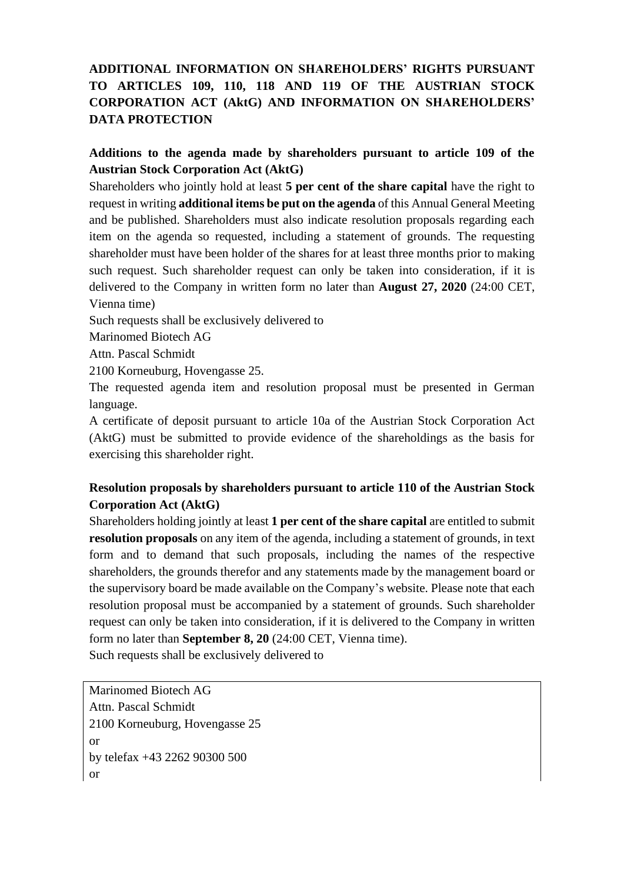# **ADDITIONAL INFORMATION ON SHAREHOLDERS' RIGHTS PURSUANT TO ARTICLES 109, 110, 118 AND 119 OF THE AUSTRIAN STOCK CORPORATION ACT (AktG) AND INFORMATION ON SHAREHOLDERS' DATA PROTECTION**

#### **Additions to the agenda made by shareholders pursuant to article 109 of the Austrian Stock Corporation Act (AktG)**

Shareholders who jointly hold at least **5 per cent of the share capital** have the right to request in writing **additional items be put on the agenda** of this Annual General Meeting and be published. Shareholders must also indicate resolution proposals regarding each item on the agenda so requested, including a statement of grounds. The requesting shareholder must have been holder of the shares for at least three months prior to making such request. Such shareholder request can only be taken into consideration, if it is delivered to the Company in written form no later than **August 27, 2020** (24:00 CET, Vienna time)

Such requests shall be exclusively delivered to

Marinomed Biotech AG

Attn. Pascal Schmidt

2100 Korneuburg, Hovengasse 25.

The requested agenda item and resolution proposal must be presented in German language.

A certificate of deposit pursuant to article 10a of the Austrian Stock Corporation Act (AktG) must be submitted to provide evidence of the shareholdings as the basis for exercising this shareholder right.

# **Resolution proposals by shareholders pursuant to article 110 of the Austrian Stock Corporation Act (AktG)**

Shareholders holding jointly at least **1 per cent of the share capital** are entitled to submit **resolution proposals** on any item of the agenda, including a statement of grounds, in text form and to demand that such proposals, including the names of the respective shareholders, the grounds therefor and any statements made by the management board or the supervisory board be made available on the Company's website. Please note that each resolution proposal must be accompanied by a statement of grounds. Such shareholder request can only be taken into consideration, if it is delivered to the Company in written form no later than **September 8, 20** (24:00 CET, Vienna time).

Such requests shall be exclusively delivered to

Marinomed Biotech AG Attn. Pascal Schmidt 2100 Korneuburg, Hovengasse 25 or by telefax +43 2262 90300 500 or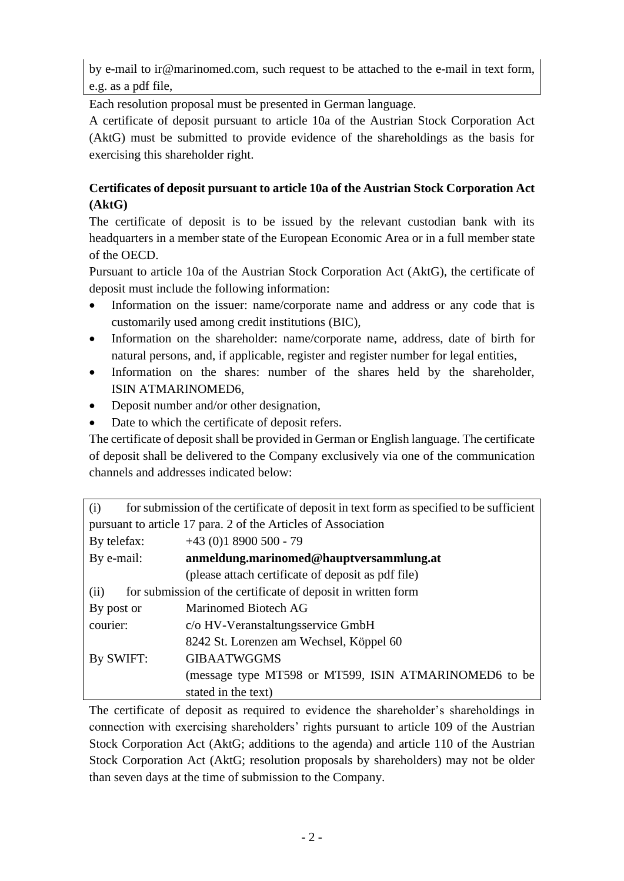by e-mail to ir@marinomed.com, such request to be attached to the e-mail in text form, e.g. as a pdf file,

Each resolution proposal must be presented in German language.

A certificate of deposit pursuant to article 10a of the Austrian Stock Corporation Act (AktG) must be submitted to provide evidence of the shareholdings as the basis for exercising this shareholder right.

# **Certificates of deposit pursuant to article 10a of the Austrian Stock Corporation Act (AktG)**

The certificate of deposit is to be issued by the relevant custodian bank with its headquarters in a member state of the European Economic Area or in a full member state of the OECD.

Pursuant to article 10a of the Austrian Stock Corporation Act (AktG), the certificate of deposit must include the following information:

- Information on the issuer: name/corporate name and address or any code that is customarily used among credit institutions (BIC),
- Information on the shareholder: name/corporate name, address, date of birth for natural persons, and, if applicable, register and register number for legal entities,
- Information on the shares: number of the shares held by the shareholder, ISIN ATMARINOMED6,
- Deposit number and/or other designation,
- Date to which the certificate of deposit refers.

The certificate of deposit shall be provided in German or English language. The certificate of deposit shall be delivered to the Company exclusively via one of the communication channels and addresses indicated below:

| (i)                                                                  | for submission of the certificate of deposit in text form as specified to be sufficient |
|----------------------------------------------------------------------|-----------------------------------------------------------------------------------------|
| pursuant to article 17 para. 2 of the Articles of Association        |                                                                                         |
| By telefax:                                                          | $+43$ (0)1 8900 500 - 79                                                                |
| By e-mail:                                                           | anmeldung.marinomed@hauptversammlung.at                                                 |
|                                                                      | (please attach certificate of deposit as pdf file)                                      |
| for submission of the certificate of deposit in written form<br>(ii) |                                                                                         |
| By post or                                                           | Marinomed Biotech AG                                                                    |
| courier:                                                             | c/o HV-Veranstaltungsservice GmbH                                                       |
|                                                                      | 8242 St. Lorenzen am Wechsel, Köppel 60                                                 |
| By SWIFT:                                                            | <b>GIBAATWGGMS</b>                                                                      |
|                                                                      | (message type MT598 or MT599, ISIN ATMARINOMED6 to be                                   |
|                                                                      | stated in the text)                                                                     |

The certificate of deposit as required to evidence the shareholder's shareholdings in connection with exercising shareholders' rights pursuant to article 109 of the Austrian Stock Corporation Act (AktG; additions to the agenda) and article 110 of the Austrian Stock Corporation Act (AktG; resolution proposals by shareholders) may not be older than seven days at the time of submission to the Company.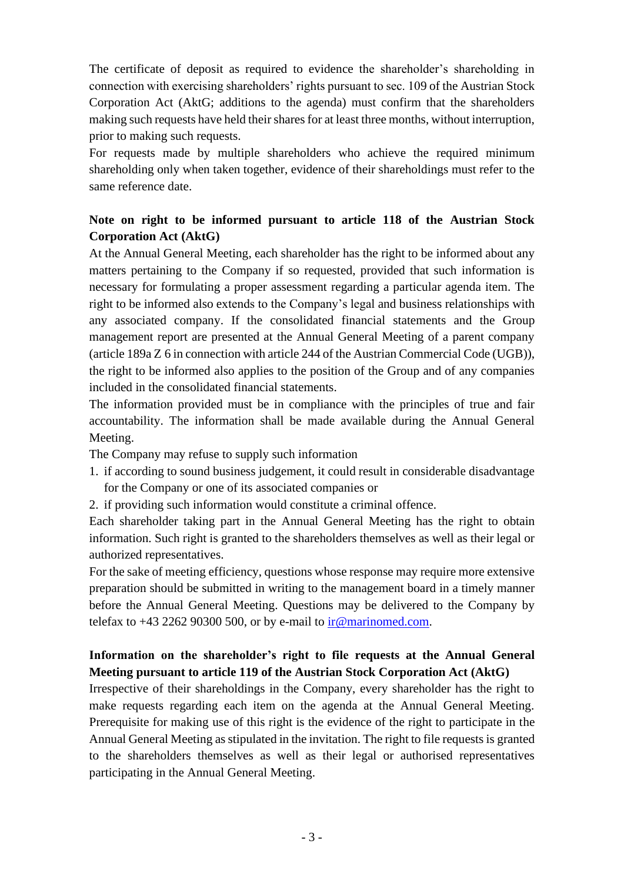The certificate of deposit as required to evidence the shareholder's shareholding in connection with exercising shareholders' rights pursuant to sec. 109 of the Austrian Stock Corporation Act (AktG; additions to the agenda) must confirm that the shareholders making such requests have held their shares for at least three months, without interruption, prior to making such requests.

For requests made by multiple shareholders who achieve the required minimum shareholding only when taken together, evidence of their shareholdings must refer to the same reference date.

### **Note on right to be informed pursuant to article 118 of the Austrian Stock Corporation Act (AktG)**

At the Annual General Meeting, each shareholder has the right to be informed about any matters pertaining to the Company if so requested, provided that such information is necessary for formulating a proper assessment regarding a particular agenda item. The right to be informed also extends to the Company's legal and business relationships with any associated company. If the consolidated financial statements and the Group management report are presented at the Annual General Meeting of a parent company (article 189a Z 6 in connection with article 244 of the Austrian Commercial Code (UGB)), the right to be informed also applies to the position of the Group and of any companies included in the consolidated financial statements.

The information provided must be in compliance with the principles of true and fair accountability. The information shall be made available during the Annual General Meeting.

The Company may refuse to supply such information

- 1. if according to sound business judgement, it could result in considerable disadvantage for the Company or one of its associated companies or
- 2. if providing such information would constitute a criminal offence.

Each shareholder taking part in the Annual General Meeting has the right to obtain information. Such right is granted to the shareholders themselves as well as their legal or authorized representatives.

For the sake of meeting efficiency, questions whose response may require more extensive preparation should be submitted in writing to the management board in a timely manner before the Annual General Meeting. Questions may be delivered to the Company by telefax to  $+43$  2262 90300 500, or by e-mail to [ir@marinomed.com.](mailto:ir@marinomed.com)

# **Information on the shareholder's right to file requests at the Annual General Meeting pursuant to article 119 of the Austrian Stock Corporation Act (AktG)**

Irrespective of their shareholdings in the Company, every shareholder has the right to make requests regarding each item on the agenda at the Annual General Meeting. Prerequisite for making use of this right is the evidence of the right to participate in the Annual General Meeting as stipulated in the invitation. The right to file requests is granted to the shareholders themselves as well as their legal or authorised representatives participating in the Annual General Meeting.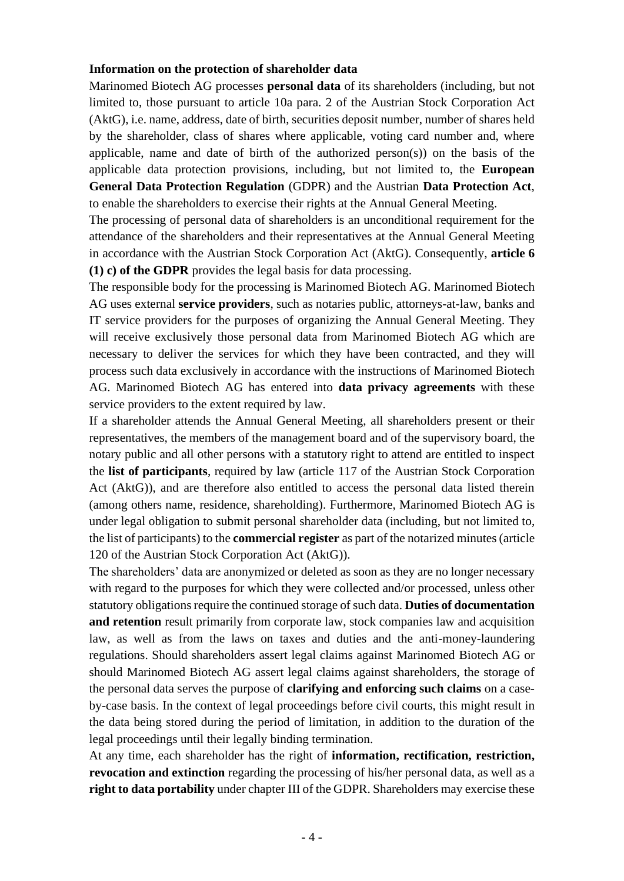#### **Information on the protection of shareholder data**

Marinomed Biotech AG processes **personal data** of its shareholders (including, but not limited to, those pursuant to article 10a para. 2 of the Austrian Stock Corporation Act (AktG), i.e. name, address, date of birth, securities deposit number, number of shares held by the shareholder, class of shares where applicable, voting card number and, where applicable, name and date of birth of the authorized person(s)) on the basis of the applicable data protection provisions, including, but not limited to, the **European General Data Protection Regulation** (GDPR) and the Austrian **Data Protection Act**, to enable the shareholders to exercise their rights at the Annual General Meeting.

The processing of personal data of shareholders is an unconditional requirement for the attendance of the shareholders and their representatives at the Annual General Meeting in accordance with the Austrian Stock Corporation Act (AktG). Consequently, **article 6 (1) c) of the GDPR** provides the legal basis for data processing.

The responsible body for the processing is Marinomed Biotech AG. Marinomed Biotech AG uses external **service providers**, such as notaries public, attorneys-at-law, banks and IT service providers for the purposes of organizing the Annual General Meeting. They will receive exclusively those personal data from Marinomed Biotech AG which are necessary to deliver the services for which they have been contracted, and they will process such data exclusively in accordance with the instructions of Marinomed Biotech AG. Marinomed Biotech AG has entered into **data privacy agreements** with these service providers to the extent required by law.

If a shareholder attends the Annual General Meeting, all shareholders present or their representatives, the members of the management board and of the supervisory board, the notary public and all other persons with a statutory right to attend are entitled to inspect the **list of participants**, required by law (article 117 of the Austrian Stock Corporation Act (AktG)), and are therefore also entitled to access the personal data listed therein (among others name, residence, shareholding). Furthermore, Marinomed Biotech AG is under legal obligation to submit personal shareholder data (including, but not limited to, the list of participants) to the **commercial register** as part of the notarized minutes (article 120 of the Austrian Stock Corporation Act (AktG)).

The shareholders' data are anonymized or deleted as soon as they are no longer necessary with regard to the purposes for which they were collected and/or processed, unless other statutory obligations require the continued storage of such data. **Duties of documentation and retention** result primarily from corporate law, stock companies law and acquisition law, as well as from the laws on taxes and duties and the anti-money-laundering regulations. Should shareholders assert legal claims against Marinomed Biotech AG or should Marinomed Biotech AG assert legal claims against shareholders, the storage of the personal data serves the purpose of **clarifying and enforcing such claims** on a caseby-case basis. In the context of legal proceedings before civil courts, this might result in the data being stored during the period of limitation, in addition to the duration of the legal proceedings until their legally binding termination.

At any time, each shareholder has the right of **information, rectification, restriction, revocation and extinction** regarding the processing of his/her personal data, as well as a **right to data portability** under chapter III of the GDPR. Shareholders may exercise these